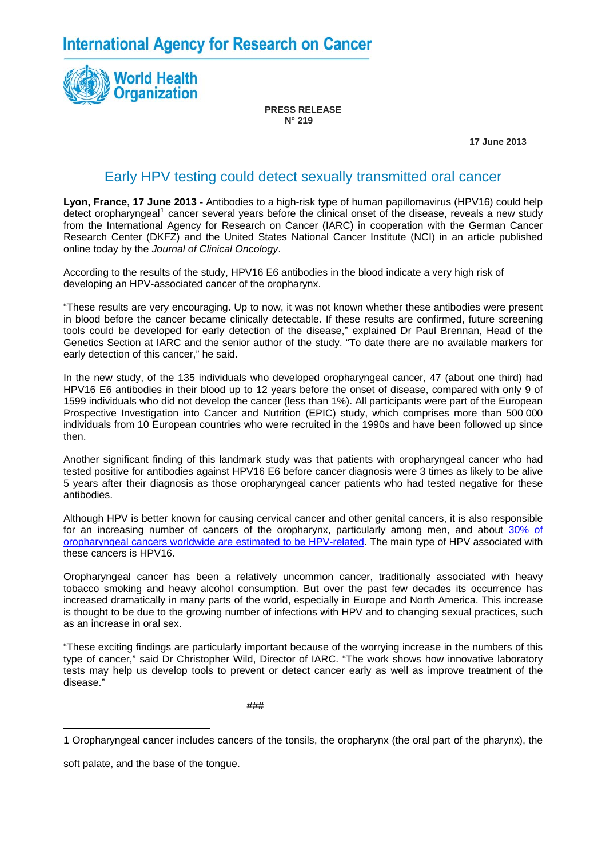**International Agency for Research on Cancer** 



**PRESS RELEASE N° 219** 

 **17 June 2013**

## Early HPV testing could detect sexually transmitted oral cancer

**Lyon, France, 17 June 2013 -** Antibodies to a high-risk type of human papillomavirus (HPV16) could help detect oropharyngeal<sup>[1](#page-0-0)</sup> cancer several years before the clinical onset of the disease, reveals a new study from the International Agency for Research on Cancer (IARC) in cooperation with the German Cancer Research Center (DKFZ) and the United States National Cancer Institute (NCI) in an article published online today by the *Journal of Clinical Oncology*.

According to the results of the study, HPV16 E6 antibodies in the blood indicate a very high risk of developing an HPV-associated cancer of the oropharynx.

"These results are very encouraging. Up to now, it was not known whether these antibodies were present in blood before the cancer became clinically detectable. If these results are confirmed, future screening tools could be developed for early detection of the disease," explained Dr Paul Brennan, Head of the Genetics Section at IARC and the senior author of the study. "To date there are no available markers for early detection of this cancer," he said.

In the new study, of the 135 individuals who developed oropharyngeal cancer, 47 (about one third) had HPV16 E6 antibodies in their blood up to 12 years before the onset of disease, compared with only 9 of 1599 individuals who did not develop the cancer (less than 1%). All participants were part of the European Prospective Investigation into Cancer and Nutrition (EPIC) study, which comprises more than 500 000 individuals from 10 European countries who were recruited in the 1990s and have been followed up since then.

Another significant finding of this landmark study was that patients with oropharyngeal cancer who had tested positive for antibodies against HPV16 E6 before cancer diagnosis were 3 times as likely to be alive 5 years after their diagnosis as those oropharyngeal cancer patients who had tested negative for these antibodies.

Although HPV is better known for causing cervical cancer and other genital cancers, it is also responsible for an increasing number of cancers of the oropharynx, particularly among men, and about [30% of](http://monographs.iarc.fr/ENG/Monographs/vol100B/mono100B-11.pdf)  [oropharyngeal cancers worldwide are estimated to be HPV-related.](http://monographs.iarc.fr/ENG/Monographs/vol100B/mono100B-11.pdf) The main type of HPV associated with these cancers is HPV16.

Oropharyngeal cancer has been a relatively uncommon cancer, traditionally associated with heavy tobacco smoking and heavy alcohol consumption. But over the past few decades its occurrence has increased dramatically in many parts of the world, especially in Europe and North America. This increase is thought to be due to the growing number of infections with HPV and to changing sexual practices, such as an increase in oral sex.

"These exciting findings are particularly important because of the worrying increase in the numbers of this type of cancer," said Dr Christopher Wild, Director of IARC. "The work shows how innovative laboratory tests may help us develop tools to prevent or detect cancer early as well as improve treatment of the disease."

###

soft palate, and the base of the tongue.

 $\overline{a}$ 

<span id="page-0-0"></span><sup>1</sup> Oropharyngeal cancer includes cancers of the tonsils, the oropharynx (the oral part of the pharynx), the